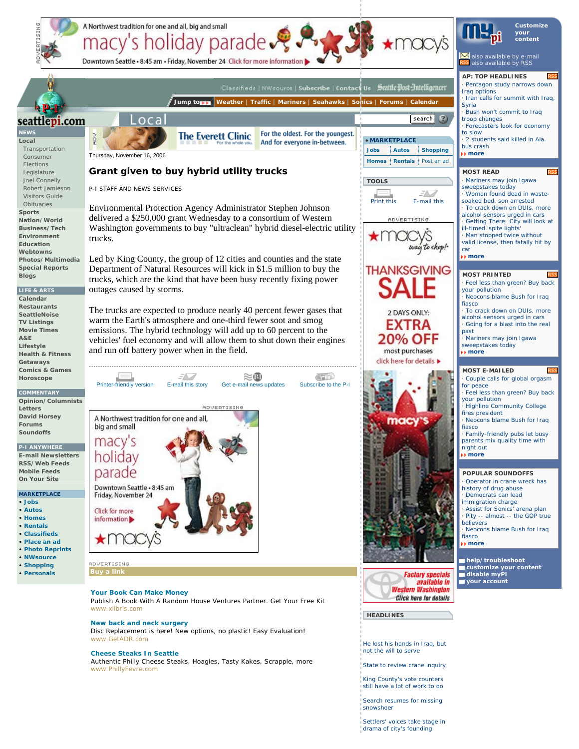

Settlers' voices take stage in drama of city's founding